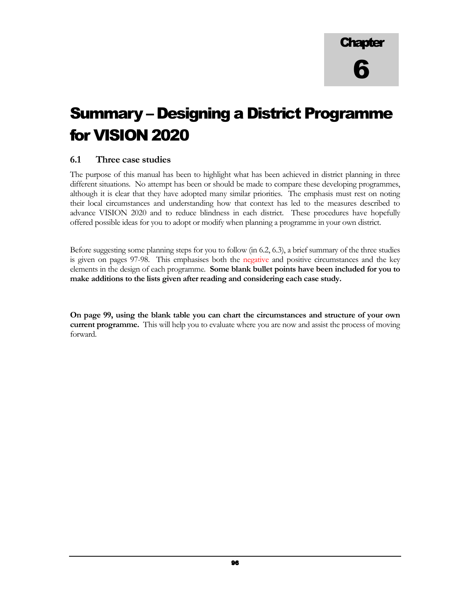# Summary – Designing a District Programme for VISION 2020

#### 6.1 Three case studies

The purpose of this manual has been to highlight what has been achieved in district planning in three different situations. No attempt has been or should be made to compare these developing programmes, although it is clear that they have adopted many similar priorities. The emphasis must rest on noting their local circumstances and understanding how that context has led to the measures described to advance VISION 2020 and to reduce blindness in each district. These procedures have hopefully offered possible ideas for you to adopt or modify when planning a programme in your own district.

Before suggesting some planning steps for you to follow (in 6.2, 6.3), a brief summary of the three studies is given on pages 97-98. This emphasises both the negative and positive circumstances and the key elements in the design of each programme. Some blank bullet points have been included for you to make additions to the lists given after reading and considering each case study.

On page 99, using the blank table you can chart the circumstances and structure of your own current programme. This will help you to evaluate where you are now and assist the process of moving forward.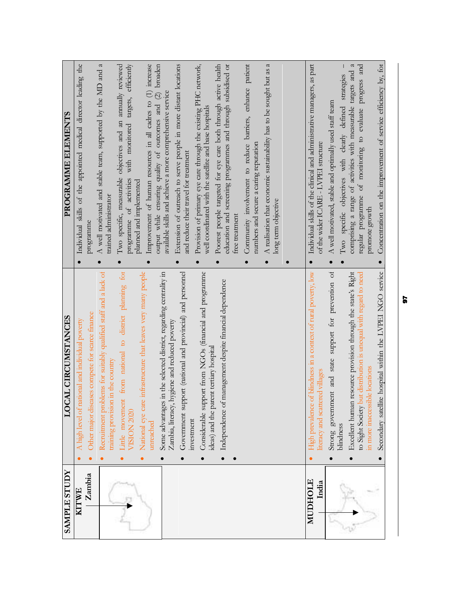| <b>SAMPLE STUDY</b> | <b>LOCAL CIRCUMSTANCES</b>                                                                                                 | <b>PROGRAMME ELEMENTS</b>                                                                                                                                      |
|---------------------|----------------------------------------------------------------------------------------------------------------------------|----------------------------------------------------------------------------------------------------------------------------------------------------------------|
| <b>KITWE</b>        | A high level of national and individual poverty<br>$\bullet$                                                               | Individual skills of the appointed medical director leading the<br>$\bullet$                                                                                   |
| Zambia              | Other major diseases compete for scarce finance                                                                            | programme                                                                                                                                                      |
|                     | Recruitment problems for suitably qualified staff and a lack of<br>in the country<br>training provision                    | A well motivated and stable team, supported by the MD and a<br>trained administrator<br>$\bullet$                                                              |
|                     | from national to district planning for<br>Little movement<br><b>VISION 2020</b>                                            | programme of activities with monitored targets, efficiently<br>Two specific, measurable objectives and an annually reviewed<br>$\bullet$                       |
|                     | infrastructure that leaves very many people<br>National eye care<br>$\bullet$                                              | planned and implemented                                                                                                                                        |
|                     | unreached                                                                                                                  | Improvement of human resources in all cadres to (1) increase<br>output while ensuring quality of outcomes and (2) broaden                                      |
|                     | in the selected district, regarding centrality in<br>hygiene and reduced poverty<br>Some advantages<br>Zambia, literacy, l | available skills and achieve a more comprehensive service                                                                                                      |
|                     | Government support (national and provincial) and personnel<br>$\bullet$                                                    | Extension of outreach to serve people in more distant locations<br>and reduce their travel for treatment                                                       |
|                     | Considerable support from NGOs (financial and programme<br>investment                                                      | Provision of primary eye care through the existing PHC network,<br>well coordinated with the satellite and base hospitals<br>$\bullet$                         |
|                     | Independence of management despite financial dependence<br>ideas) and the parent tertiary hospital<br>$\bullet$            | Poorest people targeted for eye care both through active health<br>education and screening programmes and through subsidised or<br>free treatment<br>$\bullet$ |
|                     |                                                                                                                            | Community involvement to reduce barriers, enhance patient<br>numbers and secure a caring reputation                                                            |
|                     |                                                                                                                            | A realisation that economic sustainability has to be sought but as a<br>long term objective<br>$\bullet$                                                       |
|                     |                                                                                                                            | $\bullet$                                                                                                                                                      |
| MUDHOLE<br>India    | High prevalence of blindness in a context of rural poverty, low<br>literacy and scattered villages                         | Individual skills of the clinical and administrative managers, as part<br>of the wider ICARE - LVPEI structure<br>$\bullet$                                    |
|                     | support for prevention of<br>Strong government and state                                                                   | A well motivated, stable and optimally used staff team<br>$\bullet$                                                                                            |
|                     | Excellent human resource provision through the state's Right<br>blindness<br>$\bullet$                                     | $\mathfrak{a}$<br>comprising a range of activities with measurable targets and<br>Two specific objectives with clearly defined strategies                      |
|                     | to Sight Society but distribution is unequal with regard to need<br>in more inaccessible locations                         | progress and<br>regular programme of monitoring to evaluate<br>promote growth                                                                                  |
|                     | Secondary satellite hospital within the LVPEI NGO service                                                                  | Concentration on the improvement of service efficiency by, for<br>$\bullet$                                                                                    |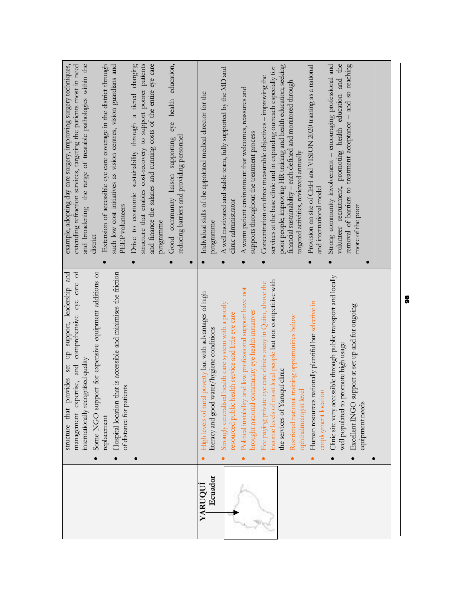| and broadening the range of treatable pathologies within the<br>Drive to economic sustainability through a tiered charging<br>structure that enables cost-recovery to support poorer patients<br>and finance the salaries and running costs of the entire eye care<br>example, adopting day care surgery, improving surgery techniques,<br>such low cost initiatives as vision centres, vision guardians and<br>Good community liaison supporting eye health education,<br>extending refraction services, targeting the patients most in need<br>Extension of accessible eye care coverage in the district through<br>reducing barriers and providing personnel<br><b>PEEP</b> volunteers<br>programme<br>district<br>$\bullet$<br>$\bullet$<br>$\bullet$ | the<br>removal of barriers to treatment acceptance - and so reaching<br>Strong community involvement - encouraging professional and<br>poor people; improving HR training and health education; seeking<br>Provision on site of CEH and VISION 2020 training as a national<br>services at the base clinic and in expanding outreach especially for<br>A well motivated and stable team, fully supported by the MD and<br>Concentration on three measurable objectives - improving the<br>volunteer recruitment, promoting health education and<br>financial sustainability - each defined and monitored through<br>A warm patient environment that welcomes, reassures and<br>Individual skills of the appointed medical director for the<br>supports throughout the treatment process<br>targeted activities, reviewed annually<br>and international model<br>clinic administrator<br>more of the poor<br>programme<br>$\bullet$<br>$\bullet$<br>$\bullet$<br>$\bullet$ |
|-----------------------------------------------------------------------------------------------------------------------------------------------------------------------------------------------------------------------------------------------------------------------------------------------------------------------------------------------------------------------------------------------------------------------------------------------------------------------------------------------------------------------------------------------------------------------------------------------------------------------------------------------------------------------------------------------------------------------------------------------------------|--------------------------------------------------------------------------------------------------------------------------------------------------------------------------------------------------------------------------------------------------------------------------------------------------------------------------------------------------------------------------------------------------------------------------------------------------------------------------------------------------------------------------------------------------------------------------------------------------------------------------------------------------------------------------------------------------------------------------------------------------------------------------------------------------------------------------------------------------------------------------------------------------------------------------------------------------------------------------|
| management expertise, and comprehensive eye care of<br>Some NGO support for expensive equipment additions or<br>structure that provides set up support, leadership and<br>that is accessible and minimises the friction<br>internationally recognised quality<br>itients<br>Hospital location<br>of distance for pa<br>replacement<br>$\bullet$<br>$\bullet$                                                                                                                                                                                                                                                                                                                                                                                              | Clinic site very accessible through public transport and locally<br>most local people but not competitive with<br>Fee paying private eye care clinics away in Quito, above the<br>Political instability and low professional support have not<br>High levels of rural poverty but with advantages of high<br>Human resources nationally plentiful but selective in<br>Strongly centralised health care system with a poorly<br>support at set up and for ongoing<br>community eye health initiatives<br>resourced public health service and little eye care<br>Restricted national training opportunities below<br>literacy and good water/hygiene conditions<br>promote high usage<br>the services of Yaruquí clinic<br>ophthalmologist level<br>employment location<br>well populated to<br>equipment needs<br>Excellent INGO<br>brought national<br>income levels of                                                                                                  |
|                                                                                                                                                                                                                                                                                                                                                                                                                                                                                                                                                                                                                                                                                                                                                           | Ecuador<br>YARUQUI                                                                                                                                                                                                                                                                                                                                                                                                                                                                                                                                                                                                                                                                                                                                                                                                                                                                                                                                                       |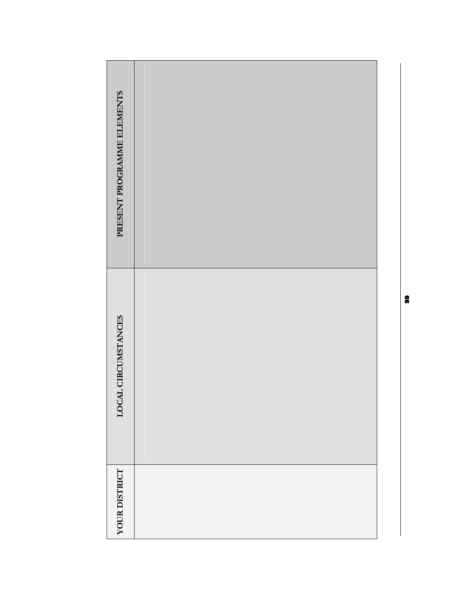| PRESENT PROGRAMME ELEMENTS |  |
|----------------------------|--|
| LOCAL CIRCUMSTANCES        |  |
| YOUR DISTRICT              |  |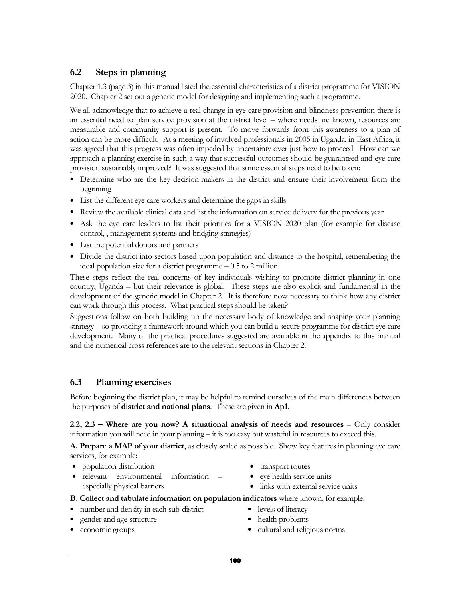## 6.2 Steps in planning

Chapter 1.3 (page 3) in this manual listed the essential characteristics of a district programme for VISION 2020. Chapter 2 set out a generic model for designing and implementing such a programme.

We all acknowledge that to achieve a real change in eye care provision and blindness prevention there is an essential need to plan service provision at the district level – where needs are known, resources are measurable and community support is present. To move forwards from this awareness to a plan of action can be more difficult. At a meeting of involved professionals in 2005 in Uganda, in East Africa, it was agreed that this progress was often impeded by uncertainty over just how to proceed. How can we approach a planning exercise in such a way that successful outcomes should be guaranteed and eye care provision sustainably improved? It was suggested that some essential steps need to be taken:

- Determine who are the key decision-makers in the district and ensure their involvement from the beginning
- List the different eye care workers and determine the gaps in skills
- Review the available clinical data and list the information on service delivery for the previous year
- Ask the eye care leaders to list their priorities for a VISION 2020 plan (for example for disease control, , management systems and bridging strategies)
- List the potential donors and partners
- Divide the district into sectors based upon population and distance to the hospital, remembering the ideal population size for a district programme – 0.5 to 2 million.

These steps reflect the real concerns of key individuals wishing to promote district planning in one country, Uganda – but their relevance is global. These steps are also explicit and fundamental in the development of the generic model in Chapter 2. It is therefore now necessary to think how any district can work through this process. What practical steps should be taken?

Suggestions follow on both building up the necessary body of knowledge and shaping your planning strategy – so providing a framework around which you can build a secure programme for district eye care development. Many of the practical procedures suggested are available in the appendix to this manual and the numerical cross references are to the relevant sections in Chapter 2.

## 6.3 Planning exercises

Before beginning the district plan, it may be helpful to remind ourselves of the main differences between the purposes of **district and national plans**. These are given in **Ap1**.

2.2, 2.3 – Where are you now? A situational analysis of needs and resources – Only consider information you will need in your planning – it is too easy but wasteful in resources to exceed this.

A. Prepare a MAP of your district, as closely scaled as possible. Show key features in planning eye care services, for example:

- population distribution
- relevant environmental information especially physical barriers
- transport routes
- eye health service units
- links with external service units

B. Collect and tabulate information on population indicators where known, for example:

- number and density in each sub-district
- gender and age structure
- economic groups
- levels of literacy
- health problems
- cultural and religious norms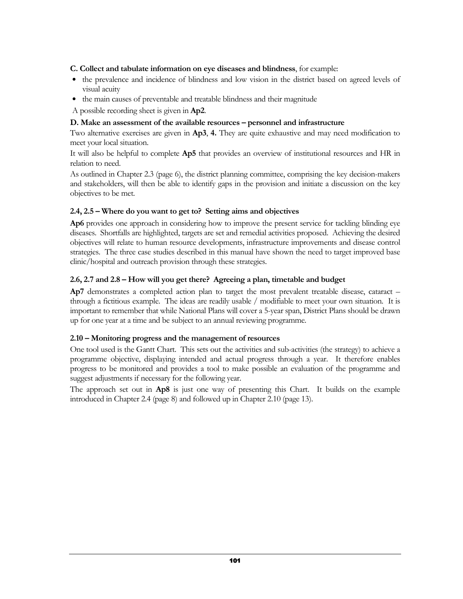#### C. Collect and tabulate information on eye diseases and blindness, for example:

- the prevalence and incidence of blindness and low vision in the district based on agreed levels of visual acuity
- the main causes of preventable and treatable blindness and their magnitude

A possible recording sheet is given in Ap2.

#### D. Make an assessment of the available resources – personnel and infrastructure

Two alternative exercises are given in Ap3, 4. They are quite exhaustive and may need modification to meet your local situation.

It will also be helpful to complete Ap5 that provides an overview of institutional resources and HR in relation to need.

As outlined in Chapter 2.3 (page 6), the district planning committee, comprising the key decision-makers and stakeholders, will then be able to identify gaps in the provision and initiate a discussion on the key objectives to be met.

#### 2.4, 2.5 – Where do you want to get to? Setting aims and objectives

Ap6 provides one approach in considering how to improve the present service for tackling blinding eye diseases. Shortfalls are highlighted, targets are set and remedial activities proposed. Achieving the desired objectives will relate to human resource developments, infrastructure improvements and disease control strategies. The three case studies described in this manual have shown the need to target improved base clinic/hospital and outreach provision through these strategies.

#### 2.6, 2.7 and 2.8 – How will you get there? Agreeing a plan, timetable and budget

Ap7 demonstrates a completed action plan to target the most prevalent treatable disease, cataract – through a fictitious example. The ideas are readily usable / modifiable to meet your own situation. It is important to remember that while National Plans will cover a 5-year span, District Plans should be drawn up for one year at a time and be subject to an annual reviewing programme.

#### 2.10 – Monitoring progress and the management of resources

One tool used is the Gantt Chart. This sets out the activities and sub-activities (the strategy) to achieve a programme objective, displaying intended and actual progress through a year. It therefore enables progress to be monitored and provides a tool to make possible an evaluation of the programme and suggest adjustments if necessary for the following year.

The approach set out in Ap8 is just one way of presenting this Chart. It builds on the example introduced in Chapter 2.4 (page 8) and followed up in Chapter 2.10 (page 13).